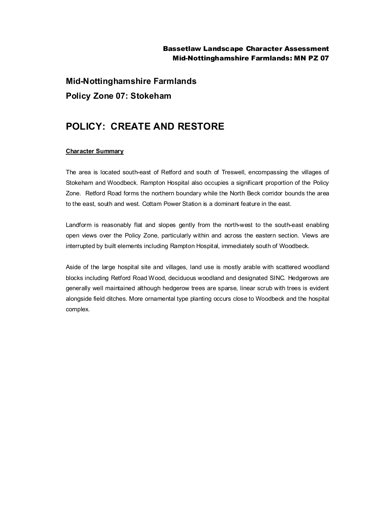### Bassetlaw Landscape Character Assessment Mid-Nottinghamshire Farmlands: MN PZ 07

**Mid-Nottinghamshire Farmlands Policy Zone 07: Stokeham**

# **POLICY: CREATE AND RESTORE**

#### **Character Summary**

The area is located south-east of Retford and south of Treswell, encompassing the villages of Stokeham and Woodbeck. Rampton Hospital also occupies a significant proportion of the Policy Zone. Retford Road forms the northern boundary while the North Beck corridor bounds the area to the east, south and west. Cottam Power Station is a dominant feature in the east.

Landform is reasonably flat and slopes gently from the north-west to the south-east enabling open views over the Policy Zone, particularly within and across the eastern section. Views are interrupted by built elements including Rampton Hospital, immediately south of Woodbeck.

Aside of the large hospital site and villages, land use is mostly arable with scattered woodland blocks including Retford Road Wood, deciduous woodland and designated SINC. Hedgerows are generally well maintained although hedgerow trees are sparse, linear scrub with trees is evident alongside field ditches. More ornamental type planting occurs close to Woodbeck and the hospital complex.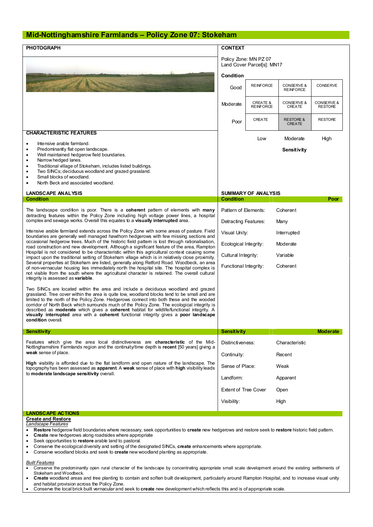## **Mid-Nottinghamshire Farmlands – Policy Zone 07: Stokeham**

| <b>PHOTOGRAPH</b>                                                                                                                                                                                                                                                                                                                                                                                                                                                                                                                                                                                                                                                                                                                                                                                                                                                                                                                   | <b>CONTEXT</b><br>Policy Zone: MN PZ 07<br>Land Cover Parcel[s]: MN17 |                                         |                                       |                              |
|-------------------------------------------------------------------------------------------------------------------------------------------------------------------------------------------------------------------------------------------------------------------------------------------------------------------------------------------------------------------------------------------------------------------------------------------------------------------------------------------------------------------------------------------------------------------------------------------------------------------------------------------------------------------------------------------------------------------------------------------------------------------------------------------------------------------------------------------------------------------------------------------------------------------------------------|-----------------------------------------------------------------------|-----------------------------------------|---------------------------------------|------------------------------|
|                                                                                                                                                                                                                                                                                                                                                                                                                                                                                                                                                                                                                                                                                                                                                                                                                                                                                                                                     |                                                                       |                                         |                                       |                              |
|                                                                                                                                                                                                                                                                                                                                                                                                                                                                                                                                                                                                                                                                                                                                                                                                                                                                                                                                     | Condition                                                             |                                         |                                       |                              |
|                                                                                                                                                                                                                                                                                                                                                                                                                                                                                                                                                                                                                                                                                                                                                                                                                                                                                                                                     | Good                                                                  | <b>REINFORCE</b>                        | CONSERVE &<br><b>REINFORCE</b>        | CONSERVE                     |
|                                                                                                                                                                                                                                                                                                                                                                                                                                                                                                                                                                                                                                                                                                                                                                                                                                                                                                                                     | Moderate                                                              | <b>CREATE &amp;</b><br><b>REINFORCE</b> | CONSERVE &<br><b>CREATE</b>           | CONSERVE &<br><b>RESTORE</b> |
|                                                                                                                                                                                                                                                                                                                                                                                                                                                                                                                                                                                                                                                                                                                                                                                                                                                                                                                                     | Poor                                                                  | CREATE                                  | <b>RESTORE &amp;</b><br><b>CREATE</b> | <b>RESTORE</b>               |
| <b>CHARACTERISTIC FEATURES</b>                                                                                                                                                                                                                                                                                                                                                                                                                                                                                                                                                                                                                                                                                                                                                                                                                                                                                                      |                                                                       | Low                                     | Moderate                              | High                         |
| Intensive arable farmland.<br>٠<br>Predominantly flat open landscape.<br>$\bullet$<br>Well maintained hedgerow field boundaries.<br>٠<br>Narrow hedged lanes.<br>٠                                                                                                                                                                                                                                                                                                                                                                                                                                                                                                                                                                                                                                                                                                                                                                  |                                                                       |                                         | Sensitivity                           |                              |
| Traditional village of Stokeham, includes listed buildings.<br>٠<br>Two SINCs; deciduous woodland and grazed grassland.<br>$\bullet$<br>Small blocks of woodland.<br>North Beck and associated woodland.                                                                                                                                                                                                                                                                                                                                                                                                                                                                                                                                                                                                                                                                                                                            |                                                                       |                                         |                                       |                              |
| <b>LANDSCAPE ANALYSIS</b>                                                                                                                                                                                                                                                                                                                                                                                                                                                                                                                                                                                                                                                                                                                                                                                                                                                                                                           | <b>SUMMARY OF ANALYSIS</b>                                            |                                         |                                       |                              |
| <b>Condition</b>                                                                                                                                                                                                                                                                                                                                                                                                                                                                                                                                                                                                                                                                                                                                                                                                                                                                                                                    | <b>Condition</b><br>Poor                                              |                                         |                                       |                              |
| The landscape condition is poor. There is a coherent pattern of elements with many<br>detracting features within the Policy Zone including high voltage power lines, a hospital<br>complex and sewage works. Overall this equates to a visually interrupted area.                                                                                                                                                                                                                                                                                                                                                                                                                                                                                                                                                                                                                                                                   | Pattern of Elements:                                                  |                                         | Coherent                              |                              |
|                                                                                                                                                                                                                                                                                                                                                                                                                                                                                                                                                                                                                                                                                                                                                                                                                                                                                                                                     | Detracting Features:                                                  |                                         | Many                                  |                              |
| Intensive arable farmland extends across the Policy Zone with some areas of pasture. Field<br>boundaries are generally well managed hawthorn hedgerows with few missing sections and<br>occasional hedgerow trees. Much of the historic field pattem is lost through rationalisation,<br>road construction and new development. Although a significant feature of the area, Rampton<br>Hospital is not considered to be characteristic within this agricultural context causing some<br>impact upon the traditional setting of Stokeham village which is in relatively close proximity.<br>Several properties at Stokeham are listed, generally along Retford Road. Woodbeck, an area<br>of non-vernacular housing lies immediately north the hospital site. The hospital complex is<br>not visible from the south where the agricultural character is retained. The overall cultural<br>integrity is assessed as <b>variable</b> . | Visual Unity:<br>Interrupted                                          |                                         |                                       |                              |
|                                                                                                                                                                                                                                                                                                                                                                                                                                                                                                                                                                                                                                                                                                                                                                                                                                                                                                                                     | Ecological Integrity:<br>Moderate                                     |                                         |                                       |                              |
|                                                                                                                                                                                                                                                                                                                                                                                                                                                                                                                                                                                                                                                                                                                                                                                                                                                                                                                                     | Cultural Integrity:<br>Variable                                       |                                         |                                       |                              |
|                                                                                                                                                                                                                                                                                                                                                                                                                                                                                                                                                                                                                                                                                                                                                                                                                                                                                                                                     | Functional Integrity:                                                 |                                         | Coherent                              |                              |
| Two SINCs are located within the area and include a deciduous woodland and grazed<br>grassland. Tree cover within the area is quite low, woodland blocks tend to be small and are<br>limited to the north of the Policy Zone. Hedgerows connect into both these and the wooded<br>corridor of North Beck which surrounds much of the Policy Zone. The ecological integrity is<br>described as <b>moderate</b> which gives a <b>coherent</b> habitat for wildlife/functional integrity. A<br>visually interrupted area with a coherent functional integrity gives a poor landscape<br>condition overall.                                                                                                                                                                                                                                                                                                                             |                                                                       |                                         |                                       |                              |
| <b>Sensitivity</b>                                                                                                                                                                                                                                                                                                                                                                                                                                                                                                                                                                                                                                                                                                                                                                                                                                                                                                                  | Sensitivity                                                           |                                         |                                       | <b>Moderate</b>              |
| Features which give the area local distinctiveness are <b>characteristic</b> of the Mid-<br>Nottinghamshire Farmlands region and the continuity/time depth is recent [50 years] giving a<br>weak sense of place.                                                                                                                                                                                                                                                                                                                                                                                                                                                                                                                                                                                                                                                                                                                    | Distinctiveness:                                                      |                                         | Characteristic                        |                              |
|                                                                                                                                                                                                                                                                                                                                                                                                                                                                                                                                                                                                                                                                                                                                                                                                                                                                                                                                     | Continuity:                                                           |                                         | Recent                                |                              |
| <b>High</b> visibility is afforded due to the flat landform and open nature of the landscape. The<br>topography has been assessed as <b>apparent</b> . A weak sense of place with high visibility leads<br>to moderate landscape sensitivity overall.                                                                                                                                                                                                                                                                                                                                                                                                                                                                                                                                                                                                                                                                               | Sense of Place:                                                       |                                         | Weak                                  |                              |
|                                                                                                                                                                                                                                                                                                                                                                                                                                                                                                                                                                                                                                                                                                                                                                                                                                                                                                                                     | Landform:                                                             |                                         | Apparent                              |                              |
|                                                                                                                                                                                                                                                                                                                                                                                                                                                                                                                                                                                                                                                                                                                                                                                                                                                                                                                                     | <b>Extent of Tree Cover</b>                                           |                                         | Open                                  |                              |
|                                                                                                                                                                                                                                                                                                                                                                                                                                                                                                                                                                                                                                                                                                                                                                                                                                                                                                                                     | Visibility:                                                           |                                         | High                                  |                              |
|                                                                                                                                                                                                                                                                                                                                                                                                                                                                                                                                                                                                                                                                                                                                                                                                                                                                                                                                     |                                                                       |                                         |                                       |                              |
| <b>LANDSCAPE ACTIONS</b>                                                                                                                                                                                                                                                                                                                                                                                                                                                                                                                                                                                                                                                                                                                                                                                                                                                                                                            |                                                                       |                                         |                                       |                              |
| <b>Create and Restore</b><br>Landscape Features                                                                                                                                                                                                                                                                                                                                                                                                                                                                                                                                                                                                                                                                                                                                                                                                                                                                                     |                                                                       |                                         |                                       |                              |
| Restore hedgerow field boundaries where necessary, seek opportunities to create new hedgerows and restore seek to restore historic field pattern.<br>٠                                                                                                                                                                                                                                                                                                                                                                                                                                                                                                                                                                                                                                                                                                                                                                              |                                                                       |                                         |                                       |                              |
| <b>Create</b> new hedgerows along roadsides where appropriate<br>Seek opportunities to restore arable land to pastoral.<br>٠                                                                                                                                                                                                                                                                                                                                                                                                                                                                                                                                                                                                                                                                                                                                                                                                        |                                                                       |                                         |                                       |                              |
| Conserve the ecological diversity and setting of the designated SINCs create enhancements where appropriate                                                                                                                                                                                                                                                                                                                                                                                                                                                                                                                                                                                                                                                                                                                                                                                                                         |                                                                       |                                         |                                       |                              |

- herve the ecological diversity and setting of the designated SINCs, **create** enhancements where appropriate.
- · Conserve woodland blocks and seek to **create** new woodland planting as appropriate.

#### *Built Features*

- Conserve the predominantly open rural character of the landscape by concentrating appropriate small scale development around the existing settlements of Stokeham and Woodbeck.
- · **Create** woodland areas and tree planting to contain and soften built development, particularly around Rampton Hospital, and to increase visual unity and habitat provision across the Policy Zone.
- · Conserve the local brick built vernacular and seek to **create** new development which reflects this and is of appropriate scale.